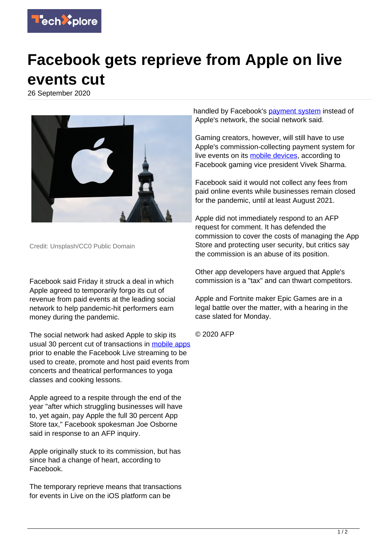

## **Facebook gets reprieve from Apple on live events cut**

26 September 2020



Credit: Unsplash/CC0 Public Domain

Facebook said Friday it struck a deal in which Apple agreed to temporarily forgo its cut of revenue from paid events at the leading social network to help pandemic-hit performers earn money during the pandemic.

The social network had asked Apple to skip its usual 30 percent cut of transactions in [mobile apps](https://techxplore.com/tags/mobile+apps/) prior to enable the Facebook Live streaming to be used to create, promote and host paid events from concerts and theatrical performances to yoga classes and cooking lessons.

Apple agreed to a respite through the end of the year "after which struggling businesses will have to, yet again, pay Apple the full 30 percent App Store tax," Facebook spokesman Joe Osborne said in response to an AFP inquiry.

Apple originally stuck to its commission, but has since had a change of heart, according to Facebook.

The temporary reprieve means that transactions for events in Live on the iOS platform can be

handled by Facebook's [payment system](https://techxplore.com/tags/payment+system/) instead of Apple's network, the social network said.

Gaming creators, however, will still have to use Apple's commission-collecting payment system for live events on its [mobile devices,](https://techxplore.com/tags/mobile+devices/) according to Facebook gaming vice president Vivek Sharma.

Facebook said it would not collect any fees from paid online events while businesses remain closed for the pandemic, until at least August 2021.

Apple did not immediately respond to an AFP request for comment. It has defended the commission to cover the costs of managing the App Store and protecting user security, but critics say the commission is an abuse of its position.

Other app developers have argued that Apple's commission is a "tax" and can thwart competitors.

Apple and Fortnite maker Epic Games are in a legal battle over the matter, with a hearing in the case slated for Monday.

© 2020 AFP